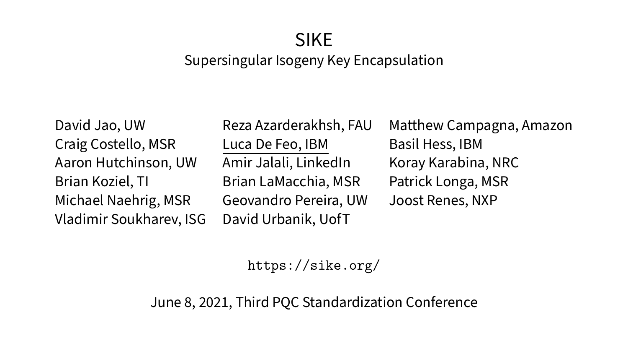# SIKE

#### Supersingular Isogeny Key Encapsulation

<span id="page-0-0"></span>Craig Costello, MSR Luca De Feo, IBM Basil Hess, IBM Aaron Hutchinson, UW Amir Jalali, LinkedIn Koray Karabina, NRC Brian Koziel, TI Brian LaMacchia, MSR Patrick Longa, MSR Michael Naehrig, MSR Geovandro Pereira, UW Joost Renes, NXP Vladimir Soukharev, ISG David Urbanik, UofT

David Jao, UW Reza Azarderakhsh, FAU Matthew Campagna, Amazon

<https://sike.org/>

June 8, 2021, Third PQC Standardization Conference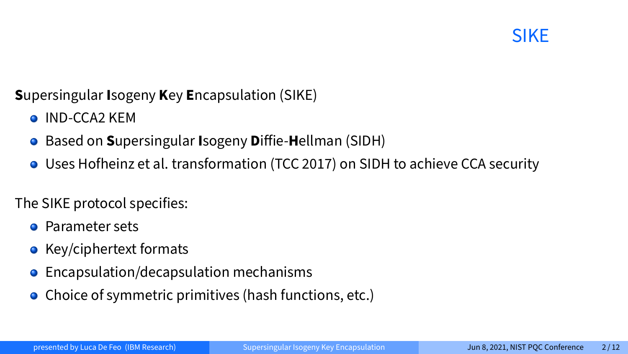#### **S**upersingular **I**sogeny **K**ey **E**ncapsulation (SIKE)

- **O** IND-CCA<sub>2</sub> KEM
- **Based on Supersingular Isogeny Diffie-Hellman (SIDH)**
- Uses Hofheinz et al. transformation (TCC 2017) on SIDH to achieve CCA security

The SIKE protocol specifies:

- **•** Parameter sets
- $\bullet$  Key/ciphertext formats
- **•** Encapsulation/decapsulation mechanisms
- Choice of symmetric primitives (hash functions, etc.)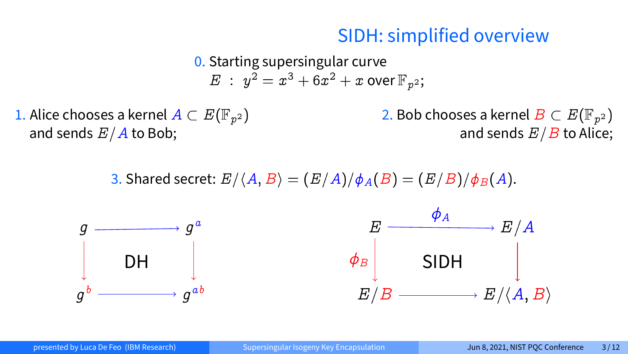#### SIDH: simplified overview

0. Starting supersingular curve  $E$  :  $y^2=x^3+6x^2+x$  over  $\mathbb{F}_{p^2};$ 

1. Alice chooses a kernel  $A \subset E(\mathbb{F}_{p^2})$ and sends  $E/A$  to Bob;

2. Bob chooses a kernel  $B\subset E(\mathbb{F}_{p^2})$ and sends  $E/B$  to Alice;

3. Shared secret:  $E/\langle A, B \rangle = (E/A)/\phi_A(B) = (E/B)/\phi_B(A)$ .



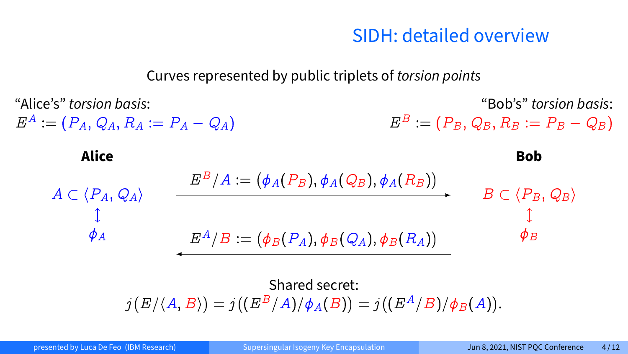#### SIDH: detailed overview

#### Curves represented by public triplets of torsion points

"Alice's" torsion basis:  $E^A:=(\begin{matrix}P_A,\,Q_A,\,R_A:=P_A-Q_A\end{matrix})$ "Bob's" torsion basis:  $E^B:=(P_B,\,Q_B,\,R_B:=P_B-Q_B)$ **Alice Bob**  $A \subset \langle P_A, Q_A \rangle$  $\phi_A$  $B \subset \langle P_B, Q_B \rangle$  $\phi_B$  $E^B/A := (\phi_A(P_B), \phi_A(Q_B), \phi_A(R_B))$  $E^A/B := (\phi_B(P_A), \phi_B(Q_A), \phi_B(R_A))$ Shared secret:  $j(E/\langle A,B \rangle)=j\big((E^{B}/A)/\phi_{A}(B)\big)=j\big((E^{A}/B)/\phi_{B}(A)\big).$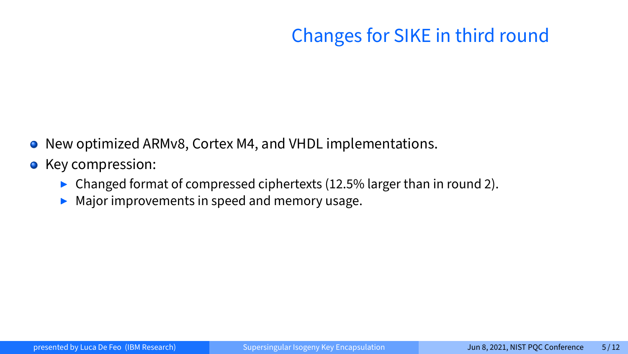# Changes for SIKE in third round

- New optimized ARMv8, Cortex M4, and VHDL implementations.
- Key compression:
	- $\triangleright$  Changed format of compressed ciphertexts (12.5% larger than in round 2).
	- $\blacktriangleright$  Major improvements in speed and memory usage.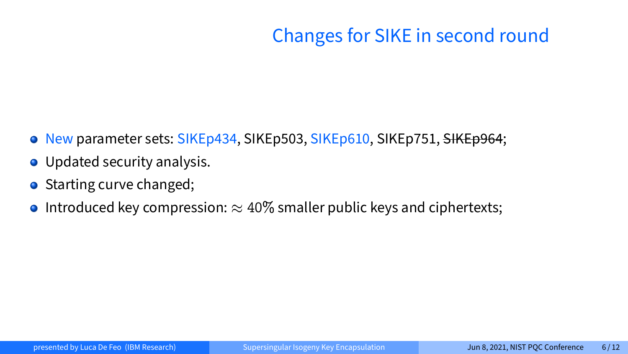# Changes for SIKE in second round

- O New parameter sets: SIKEp434, SIKEp503, SIKEp610, SIKEp751, SIKEp964;
- Updated security analysis.
- Starting curve changed;
- **Introduced key compression:**  $\approx 40\%$  smaller public keys and ciphertexts;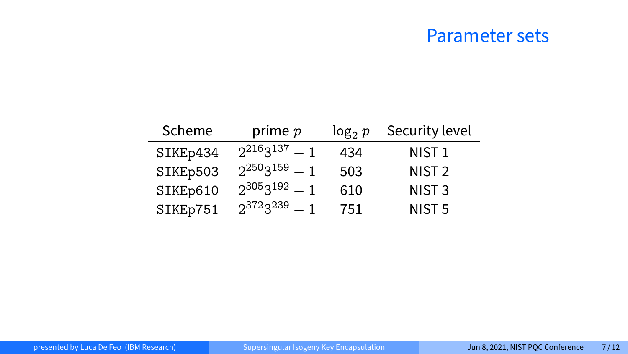#### Parameter sets

| Scheme   | prime $p$ | $log_2 p$ | Security level    |
|----------|-----------|-----------|-------------------|
| SIKEp434 | 22163137  | 434       | NIST <sub>1</sub> |
| SIKEp503 | 22503159  | 503       | NIST <sub>2</sub> |
| SIKEp610 | 23053192  | 610       | NIST <sub>3</sub> |
| SIKEp751 | 23723239  | 751       | NIST <sub>5</sub> |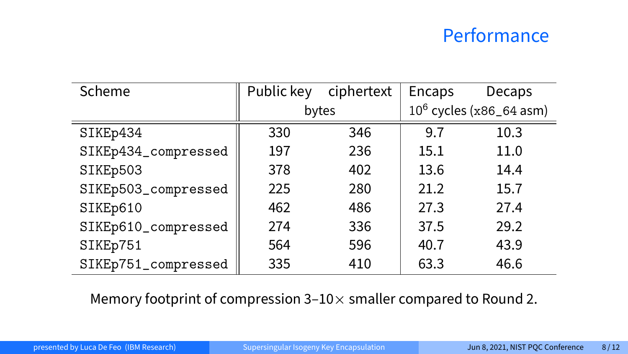#### Performance

| Scheme              |       | Public key ciphertext | Encaps                     | <b>Decaps</b> |  |
|---------------------|-------|-----------------------|----------------------------|---------------|--|
|                     | bytes |                       | $10^6$ cycles (x86_64 asm) |               |  |
| SIKEp434            | 330   | 346                   | 9.7                        | 10.3          |  |
| SIKEp434_compressed | 197   | 236                   | 15.1                       | 11.0          |  |
| SIKEp503            | 378   | 402                   | 13.6                       | 14.4          |  |
| SIKEp503_compressed | 225   | 280                   | 21.2                       | 15.7          |  |
| SIKEp610            | 462   | 486                   | 27.3                       | 27.4          |  |
| SIKEp610_compressed | 274   | 336                   | 37.5                       | 29.2          |  |
| SIKEp751            | 564   | 596                   | 40.7                       | 43.9          |  |
| SIKEp751_compressed | 335   | 410                   | 63.3                       | 46.6          |  |

Memory footprint of compression 3–10 $\times$  smaller compared to Round 2.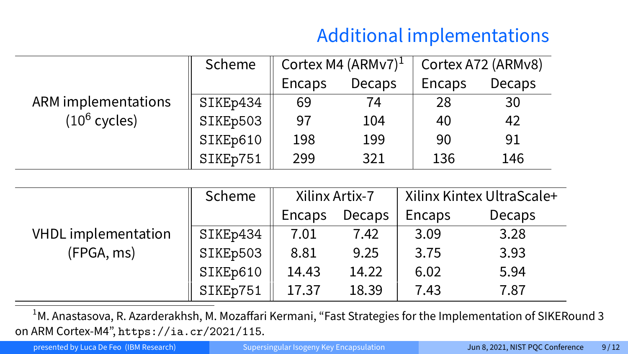# Additional implementations

|                            | Scheme   |        | Cortex M4 (ARMv7) $^1$ | Cortex A72 (ARMv8) |        |  |
|----------------------------|----------|--------|------------------------|--------------------|--------|--|
|                            |          | Encaps | Decaps                 | Encaps             | Decaps |  |
| <b>ARM</b> implementations | SIKEp434 | 69     | 74                     | 28                 | 30     |  |
| $(10^6 \text{ cycles})$    | SIKEp503 | 97     | 104                    | 40                 | 42     |  |
|                            | SIKEp610 | 198    | 199                    | 90                 | 91     |  |
|                            | SIKEp751 | 299    | 321                    | 136                | 146    |  |

|                                          | Scheme   | Xilinx Artix-7 |        | Xilinx Kintex UltraScale+ |        |  |
|------------------------------------------|----------|----------------|--------|---------------------------|--------|--|
|                                          |          | Encaps         | Decaps | Encaps                    | Decaps |  |
| <b>VHDL</b> implementation<br>(FPGA, ms) | SIKEp434 | 7.01           | 7.42   | 3.09                      | 3.28   |  |
|                                          | SIKEp503 | 8.81           | 9.25   | 3.75                      | 3.93   |  |
|                                          | SIKEp610 | 14.43          | 14.22  | 6.02                      | 5.94   |  |
|                                          | SIKEp751 | 17.37          | 18.39  | 7.43                      | 7.87   |  |

<sup>1</sup>M. Anastasova, R. Azarderakhsh, M. Mozaffari Kermani, "Fast Strategies for the Implementation of SIKERound 3 on ARM Cortex-M4", <https://ia.cr/2021/115>.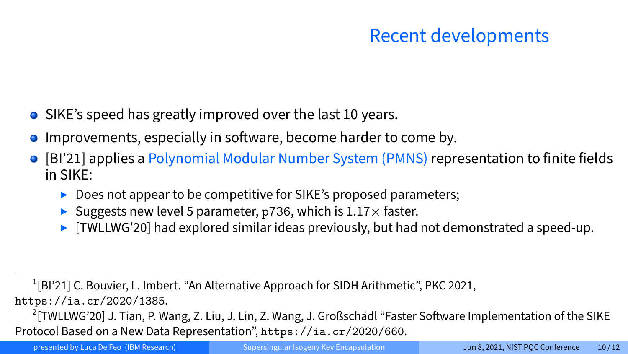## Recent developments

- SIKE's speed has greatly improved over the last 10 years.
- $\bullet$  Improvements, especially in software, become harder to come by.
- [BI'21] applies a Polynomial Modular Number System (PMNS) representation to finite fields in SIKE:
	- $\triangleright$  Does not appear to be competitive for SIKE's proposed parameters;
	- Suggests new level 5 parameter, p736, which is  $1.17\times$  faster.
	- $\triangleright$  [TWLLWG'20] had explored similar ideas previously, but had not demonstrated a speed-up.

<sup>1</sup>[BI'21] C. Bouvier, L. Imbert. "An Alternative Approach for SIDH Arithmetic", PKC 2021,

<https://ia.cr/2020/1385>.

<sup>&</sup>lt;sup>2</sup>[TWLLWG'20] J. Tian, P. Wang, Z. Liu, J. Lin, Z. Wang, J. Großschädl "Faster Software Implementation of the SIKE Protocol Based on a New Data Representation", <https://ia.cr/2020/660>.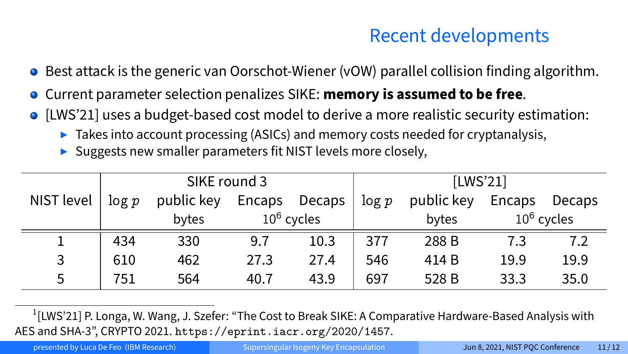## Recent developments

- **•** Best attack is the generic van Oorschot-Wiener (vOW) parallel collision finding algorithm.
- Current parameter selection penalizes SIKE: **memory is assumed to be free**.  $\bullet$
- [LWS'21] uses a budget-based cost model to derive a more realistic security estimation:
	- $\triangleright$  Takes into account processing (ASICs) and memory costs needed for cryptanalysis,
	- $\triangleright$  Suggests new smaller parameters fit NIST levels more closely,

|            | SIKE round 3 |            |               |        | [LWS'21] |            |        |               |
|------------|--------------|------------|---------------|--------|----------|------------|--------|---------------|
| NIST level | log p        | public key | Encaps        | Decaps | log p    | public key | Encaps | Decaps        |
|            |              | bytes      | $10^6$ cycles |        |          | bytes      |        | $10^6$ cycles |
|            | 434          | 330        | 9.7           | 10.3   | 377      | 288 B      | 7.3    | 7.2           |
| 3          | 610          | 462        | 27.3          | 27.4   | 546      | 414 B      | 19.9   | 19.9          |
| 5          | 751          | 564        | 40.7          | 43.9   | 697      | 528 B      | 33.3   | 35.0          |

1 [LWS'21] P. Longa, W. Wang, J. Szefer: "The Cost to Break SIKE: A Comparative Hardware-Based Analysis with AES and SHA-3", CRYPTO 2021. <https://eprint.iacr.org/2020/1457>.